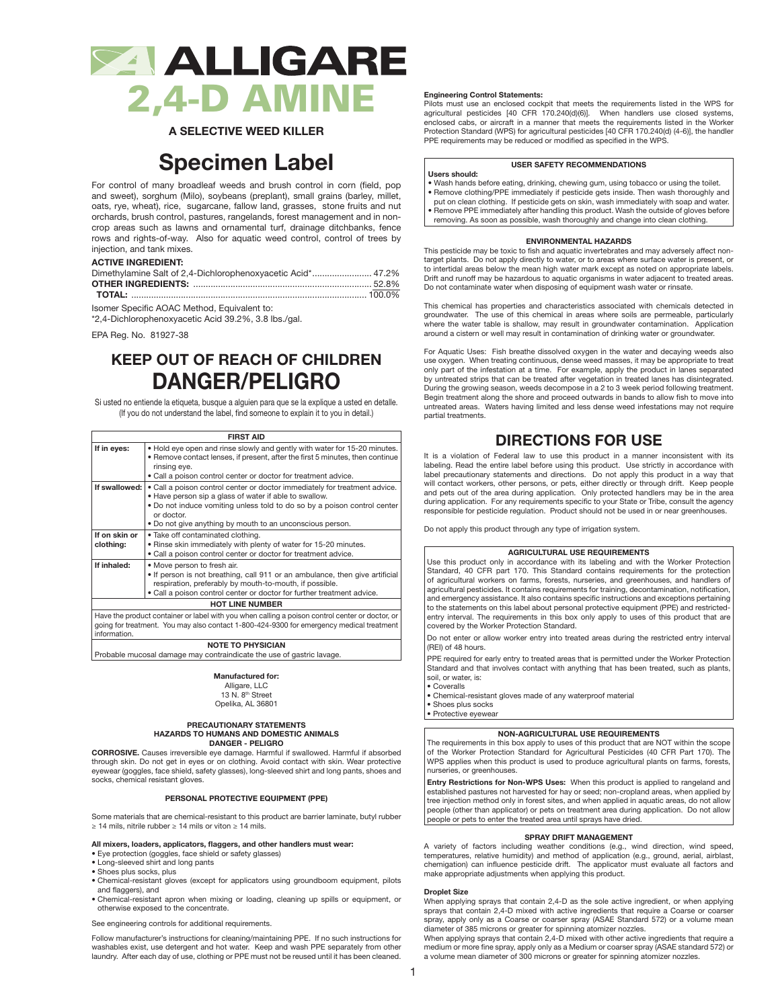

**A SELECTIVE WEED KILLER**

# **Specimen Label**

For control of many broadleaf weeds and brush control in corn (field, pop and sweet), sorghum (Milo), soybeans (preplant), small grains (barley, millet, oats, rye, wheat), rice, sugarcane, fallow land, grasses, stone fruits and nut orchards, brush control, pastures, rangelands, forest management and in noncrop areas such as lawns and ornamental turf, drainage ditchbanks, fence rows and rights-of-way. Also for aquatic weed control, control of trees by injection, and tank mixes.

## **ACTIVE INGREDIENT:**

| Dimethylamine Salt of 2,4-Dichlorophenoxyacetic Acid* 47.2% |  |
|-------------------------------------------------------------|--|
|                                                             |  |
|                                                             |  |

Isomer Specific AOAC Method, Equivalent to:

\*2,4-Dichlorophenoxyacetic Acid 39.2%, 3.8 lbs./gal.

EPA Reg. No. 81927-38

## **KEEP OUT OF REACH OF CHILDREN DANGER/PELIGRO**

Si usted no entiende la etiqueta, busque a alguien para que se la explique a usted en detalle. (If you do not understand the label, find someone to explain it to you in detail.)

### **FIRST AID**

|                                                                                                                                                                                                                                                                 | FIRST AID                                                                                                                                                                                                                                                                                   |  |  |  |
|-----------------------------------------------------------------------------------------------------------------------------------------------------------------------------------------------------------------------------------------------------------------|---------------------------------------------------------------------------------------------------------------------------------------------------------------------------------------------------------------------------------------------------------------------------------------------|--|--|--|
| If in eyes:                                                                                                                                                                                                                                                     | . Hold eye open and rinse slowly and gently with water for 15-20 minutes.<br>• Remove contact lenses, if present, after the first 5 minutes, then continue<br>rinsing eye.<br>• Call a poison control center or doctor for treatment advice.                                                |  |  |  |
| If swallowed:                                                                                                                                                                                                                                                   | • Call a poison control center or doctor immediately for treatment advice.<br>. Have person sip a glass of water if able to swallow.<br>• Do not induce vomiting unless told to do so by a poison control center<br>or doctor.<br>• Do not give anything by mouth to an unconscious person. |  |  |  |
| If on skin or<br>clothing:                                                                                                                                                                                                                                      | . Take off contaminated clothing.<br>. Rinse skin immediately with plenty of water for 15-20 minutes.<br>. Call a poison control center or doctor for treatment advice.                                                                                                                     |  |  |  |
| If inhaled:<br>• Move person to fresh air.<br>. If person is not breathing, call 911 or an ambulance, then give artificial<br>respiration, preferably by mouth-to-mouth, if possible.<br>• Call a poison control center or doctor for further treatment advice. |                                                                                                                                                                                                                                                                                             |  |  |  |
| <b>HOT LINE NUMBER</b>                                                                                                                                                                                                                                          |                                                                                                                                                                                                                                                                                             |  |  |  |
| Have the product container or label with you when calling a poison control center or doctor, or<br>going for treatment. You may also contact 1-800-424-9300 for emergency medical treatment<br>information.                                                     |                                                                                                                                                                                                                                                                                             |  |  |  |

**NOTE TO PHYSICIAN**

Probable mucosal damage may contraindicate the use of gastric lavage.

## **Manufactured for:**

Alligare, LLC 13 N. 8<sup>th</sup> Street

Opelika, AL 36801

## **PRECAUTIONARY STATEMENTS HAZARDS TO HUMANS AND DOMESTIC ANIMALS DANGER - PELIGRO**

**CORROSIVE.** Causes irreversible eye damage. Harmful if swallowed. Harmful if absorbed through skin. Do not get in eyes or on clothing. Avoid contact with skin. Wear protective eyewear (goggles, face shield, safety glasses), long-sleeved shirt and long pants, shoes and socks, chemical resistant gloves.

## **PERSONAL PROTECTIVE EQUIPMENT (PPE)**

Some materials that are chemical-resistant to this product are barrier laminate, butyl rubber ≥ 14 mils, nitrile rubber ≥ 14 mils or viton ≥ 14 mils.

## **All mixers, loaders, applicators, flaggers, and other handlers must wear:**

- Eye protection (goggles, face shield or safety glasses)
- Long-sleeved shirt and long pants
- Shoes plus socks, plus
- Chemical-resistant gloves (except for applicators using groundboom equipment, pilots and flaggers), and
- Chemical-resistant apron when mixing or loading, cleaning up spills or equipment, or otherwise exposed to the concentrate.

See engineering controls for additional requirements.

Follow manufacturer's instructions for cleaning/maintaining PPE. If no such instructions for washables exist, use detergent and hot water. Keep and wash PPE separately from other laundry. After each day of use, clothing or PPE must not be reused until it has been cleaned.

## **Engineering Control Statements:**

Pilots must use an enclosed cockpit that meets the requirements listed in the WPS for agricultural pesticides [40 CFR 170.240(d)(6)]. When handlers use closed systems, enclosed cabs, or aircraft in a manner that meets the requirements listed in the Worker Protection Standard (WPS) for agricultural pesticides [40 CFR 170.240(d) (4-6)], the handler PPE requirements may be reduced or modified as specified in the WPS.

## **USER SAFETY RECOMMENDATIONS**

## **Users should:**

- Wash hands before eating, drinking, chewing gum, using tobacco or using the toilet. Remove clothing/PPE immediately if pesticide gets inside. Then wash thoroughly and put on clean clothing. If pesticide gets on skin, wash immediately with soap and water.
- Remove PPE immediately after handling this product. Wash the outside of gloves before removing. As soon as possible, wash thoroughly and change into clean clothing.

## **ENVIRONMENTAL HAZARDS**

This pesticide may be toxic to fish and aquatic invertebrates and may adversely affect nontarget plants. Do not apply directly to water, or to areas where surface water is present, or to intertidal areas below the mean high water mark except as noted on appropriate labels. Drift and runoff may be hazardous to aquatic organisms in water adjacent to treated areas. Do not contaminate water when disposing of equipment wash water or rinsate.

This chemical has properties and characteristics associated with chemicals detected in groundwater. The use of this chemical in areas where soils are permeable, particularly where the water table is shallow, may result in groundwater contamination. Application around a cistern or well may result in contamination of drinking water or groundwater.

For Aquatic Uses: Fish breathe dissolved oxygen in the water and decaying weeds also use oxygen. When treating continuous, dense weed masses, it may be appropriate to treat only part of the infestation at a time. For example, apply the product in lanes separated by untreated strips that can be treated after vegetation in treated lanes has disintegrated. During the growing season, weeds decompose in a 2 to 3 week period following treatment. Begin treatment along the shore and proceed outwards in bands to allow fish to move into untreated areas. Waters having limited and less dense weed infestations may not require partial treatments.

## **DIRECTIONS FOR USE**

It is a violation of Federal law to use this product in a manner inconsistent with its labeling. Read the entire label before using this product. Use strictly in accordance with label precautionary statements and directions. Do not apply this product in a way that will contact workers, other persons, or pets, either directly or through drift. Keep people and pets out of the area during application. Only protected handlers may be in the area during application. For any requirements specific to your State or Tribe, consult the agency responsible for pesticide regulation. Product should not be used in or near greenhouses.

Do not apply this product through any type of irrigation system.

## **AGRICULTURAL USE REQUIREMENTS**

Use this product only in accordance with its labeling and with the Worker Protection Standard, 40 CFR part 170. This Standard contains requirements for the protection of agricultural workers on farms, forests, nurseries, and greenhouses, and handlers of agricultural pesticides. It contains requirements for training, decontamination, notification, and emergency assistance. It also contains specific instructions and exceptions pertaining to the statements on this label about personal protective equipment (PPE) and restrictedentry interval. The requirements in this box only apply to uses of this product that are covered by the Worker Protection Standard.

Do not enter or allow worker entry into treated areas during the restricted entry interval (REI) of 48 hours.

PPE required for early entry to treated areas that is permitted under the Worker Protection Standard and that involves contact with anything that has been treated, such as plants, soil, or water, is:

- Coveralls
- Chemical-resistant gloves made of any waterproof material

• Shoes plus socks • Protective eyewear

## **NON-AGRICULTURAL USE REQUIREMENTS**

The requirements in this box apply to uses of this product that are NOT within the scope of the Worker Protection Standard for Agricultural Pesticides (40 CFR Part 170). The WPS applies when this product is used to produce agricultural plants on farms, forests, nurseries, or greenhouses.

**Entry Restrictions for Non-WPS Uses:** When this product is applied to rangeland and established pastures not harvested for hay or seed; non-cropland areas, when applied by tree injection method only in forest sites, and when applied in aquatic areas, do not allow people (other than applicator) or pets on treatment area during application. Do not allow people or pets to enter the treated area until sprays have dried.

## **SPRAY DRIFT MANAGEMENT**

A variety of factors including weather conditions (e.g., wind direction, wind speed, temperatures, relative humidity) and method of application (e.g., ground, aerial, airblast, chemigation) can influence pesticide drift. The applicator must evaluate all factors and make appropriate adjustments when applying this product.

## **Droplet Size**

When applying sprays that contain 2,4-D as the sole active ingredient, or when applying sprays that contain 2,4-D mixed with active ingredients that require a Coarse or coarser spray, apply only as a Coarse or coarser spray (ASAE Standard 572) or a volume mean diameter of 385 microns or greater for spinning atomizer nozzles.

When applying sprays that contain 2,4-D mixed with other active ingredients that require a medium or more fine spray, apply only as a Medium or coarser spray (ASAE standard 572) or a volume mean diameter of 300 microns or greater for spinning atomizer nozzles.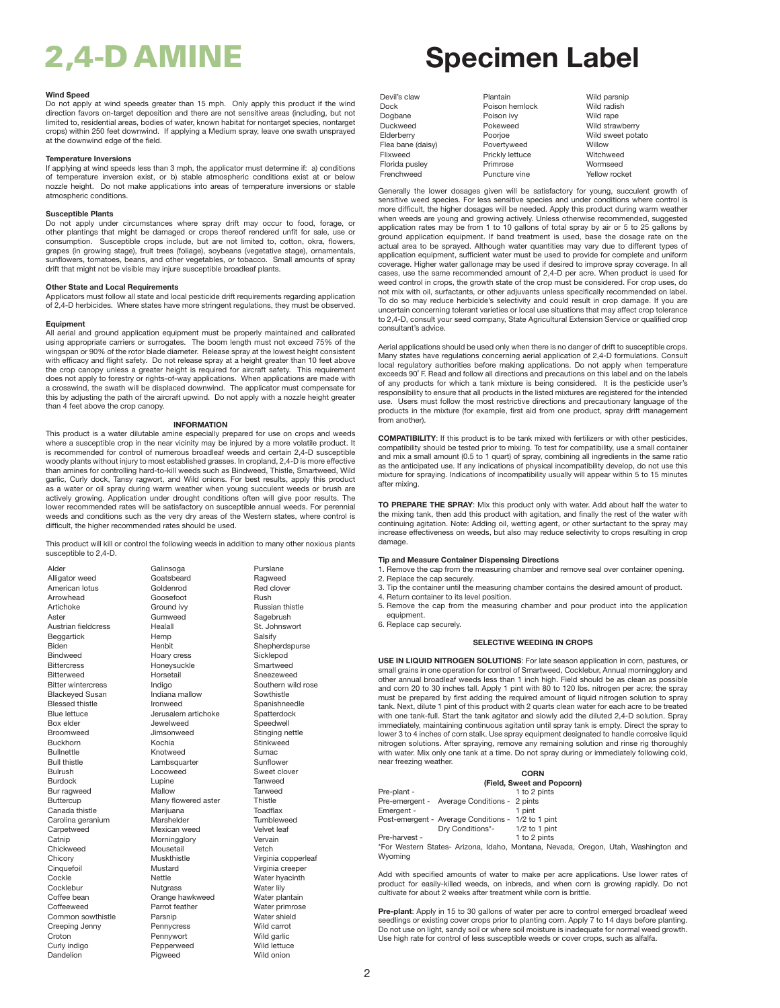## **Wind Speed**

Do not apply at wind speeds greater than 15 mph. Only apply this product if the wind direction favors on-target deposition and there are not sensitive areas (including, but not limited to, residential areas, bodies of water, known habitat for nontarget species, nontarget crops) within 250 feet downwind. If applying a Medium spray, leave one swath unsprayed at the downwind edge of the field.

## **Temperature Inversions**

If applying at wind speeds less than 3 mph, the applicator must determine if: a) conditions of temperature inversion exist, or b) stable atmospheric conditions exist at or below nozzle height. Do not make applications into areas of temperature inversions or stable atmospheric conditions.

## **Susceptible Plants**

Do not apply under circumstances where spray drift may occur to food, forage, or other plantings that might be damaged or crops thereof rendered unfit for sale, use or consumption. Susceptible crops include, but are not limited to, cotton, okra, flowers, grapes (in growing stage), fruit trees (foliage), soybeans (vegetative stage), ornamentals, sunflowers, tomatoes, beans, and other vegetables, or tobacco. Small amounts of spray drift that might not be visible may injure susceptible broadleaf plants.

**Other State and Local Requirements** Applicators must follow all state and local pesticide drift requirements regarding application of 2,4-D herbicides. Where states have more stringent regulations, they must be observed.

## **Equipment**

All aerial and ground application equipment must be properly maintained and calibrated using appropriate carriers or surrogates. The boom length must not exceed 75% of the wingspan or 90% of the rotor blade diameter. Release spray at the lowest height consistent with efficacy and flight safety. Do not release spray at a height greater than 10 feet above the crop canopy unless a greater height is required for aircraft safety. This requirement does not apply to forestry or rights-of-way applications. When applications are made with a crosswind, the swath will be displaced downwind. The applicator must compensate for this by adjusting the path of the aircraft upwind. Do not apply with a nozzle height greater than 4 feet above the crop canopy.

## **INFORMATION**

This product is a water dilutable amine especially prepared for use on crops and weeds where a susceptible crop in the near vicinity may be injured by a more volatile product. It is recommended for control of numerous broadleaf weeds and certain 2,4-D susceptible woody plants without injury to most established grasses. In cropland, 2,4-D is more effective than amines for controlling hard-to-kill weeds such as Bindweed, Thistle, Smartweed, Wild garlic, Curly dock, Tansy ragwort, and Wild onions. For best results, apply this product as a water or oil spray during warm weather when young succulent weeds or brush are actively growing. Application under drought conditions often will give poor results. The lower recommended rates will be satisfactory on susceptible annual weeds. For perennial weeds and conditions such as the very dry areas of the Western states, where control is difficult, the higher recommended rates should be used.

This product will kill or control the following weeds in addition to many other noxious plants susceptible to 2,4-D.

| Alder                     | Galinsoga           | Purslane        |
|---------------------------|---------------------|-----------------|
| Alligator weed            | Goatsbeard          | Ragweed         |
| American lotus            | Goldenrod           | Red clov        |
| Arrowhead                 | Goosefoot           | Rush            |
| Artichoke                 | Ground ivy          | Russian t       |
| Aster                     | Gumweed             | Sagebrus        |
| Austrian fieldcress       | Healall             | St. Johns       |
| <b>Beggartick</b>         | Hemp                | Salsify         |
| <b>Biden</b>              | Henbit              | Shepherd        |
| <b>Bindweed</b>           | Hoary cress         | Sicklepo        |
| <b>Bittercress</b>        | Honeysuckle         | Smartwe         |
| <b>Bitterweed</b>         | Horsetail           | Sneezew         |
| <b>Bitter wintercress</b> | Indigo              | Southern        |
| <b>Blackeyed Susan</b>    | Indiana mallow      | Sowthist        |
| <b>Blessed thistle</b>    | Ironweed            | Spanishr        |
| <b>Blue lettuce</b>       | Jerusalem artichoke | <b>Spatterd</b> |
| Box elder                 | Jewelweed           | Speedwe         |
| <b>Broomweed</b>          | Jimsonweed          | Stinging        |
| <b>Buckhorn</b>           | Kochia              | Stinkwee        |
| <b>Bullnettle</b>         | Knotweed            | Sumac           |
| <b>Bull thistle</b>       | Lambsquarter        | Sunflowe        |
| <b>Bulrush</b>            | Locoweed            | Sweet cl        |
| <b>Burdock</b>            | Lupine              | Tanweed         |
| Bur ragweed               | Mallow              | Tarweed         |
| <b>Buttercup</b>          | Many flowered aster | Thistle         |
| Canada thistle            | Marijuana           | Toadflax        |
| Carolina geranium         | Marshelder          | Tumblew         |
| Carpetweed                | Mexican weed        | Velvet lea      |
| Catnip                    | Morningglory        | Vervain         |
| Chickweed                 | Mousetail           | Vetch           |
| Chicory                   | Muskthistle         | Virginia c      |
| Cinquefoil                | Mustard             | Virginia c      |
| Cockle                    | Nettle              | Water hy        |
| Cocklebur                 | Nutgrass            | Water lily      |
| Coffee bean               | Orange hawkweed     | Water pla       |
| Coffeeweed                | Parrot feather      | Water pri       |
| Common sowthistle         | Parsnip             | Water sh        |
| Creeping Jenny            | Pennycress          | Wild carr       |
| Croton                    | Pennywort           | Wild garl       |
| Curly indigo              | Pepperweed          | Wild lettu      |
| Dandelion                 | Piaweed             | Wild onic       |

Galinsoga Purslane<br>
Goatsbeard **Ragweed** Alligator Goatsbeard<br>
Goldenrod Goldenrod Red clover Goosefoot Rush<br>Ground ivv **Russian thistle** Gumweed Sagebrush Austrian fieldcress Healall St. Johnswort Henbit Shepherdspurse<br>
Hoarv cress Sicklepod Hoary cress Sicklepod<br>
Honevsuckle<br>
Smartweed Horsetail Sneezeweed<br>
1992 - Southern wild Southern wild rose Indiana mallow Sowthistle Blessed thistle Ironweed Spanishneedle Jerusalem artichoke Spatterdock Jewelweed Speedwell<br>
Jimsonweed Stinaina ne **Jimsonweed Stinging nettle**<br> **Stinkweed** Stinkweed Stinkweed Knotweed Sumac<br>Lambsquarter Sunflower Locoweed Sweet clover Many flowered aster Thistle<br>Marijuana Toadflax Tumbleweed<br>Velvet leaf Mexican weed Velvet leaf<br>Merningglory Vervain Muskthistle **Virginia copperleaf** Mustard **Virginia creeper** Nettle Water hyacinth<br>
Nutarass Water lilv Nutgrass Water lily<br>
Orange hawkweed Water plantain Orange hawkweed Parrot feather Water primrose Parsnip Water shield Pennycress Wild carrot Pennywort Wild garlic Pepperweed Wild lettuce

# 2,4-D AMINE **Specimen Label**

| Devil's claw      | Plantain        | Wild parsnip      |
|-------------------|-----------------|-------------------|
| <b>Dock</b>       | Poison hemlock  | Wild radish       |
| Dogbane           | Poison ivy      | Wild rape         |
| Duckweed          | Pokeweed        | Wild strawberry   |
| Elderberry        | Poorjoe         | Wild sweet potato |
| Flea bane (daisy) | Povertyweed     | Willow            |
| Flixweed          | Prickly lettuce | Witchweed         |
| Florida pusley    | Primrose        | Wormseed          |
| Frenchweed        | Puncture vine   | Yellow rocket     |

Wild radish Wild rape

Generally the lower dosages given will be satisfactory for young, succulent growth of sensitive weed species. For less sensitive species and under conditions where control is more difficult, the higher dosages will be needed. Apply this product during warm weather when weeds are young and growing actively. Unless otherwise recommended, suggested application rates may be from 1 to 10 gallons of total spray by air or 5 to 25 gallons by ground application equipment. If band treatment is used, base the dosage rate on the actual area to be sprayed. Although water quantities may vary due to different types of application equipment, sufficient water must be used to provide for complete and uniform coverage. Higher water gallonage may be used if desired to improve spray coverage. In all cases, use the same recommended amount of 2,4-D per acre. When product is used for weed control in crops, the growth state of the crop must be considered. For crop uses, do not mix with oil, surfactants, or other adjuvants unless specifically recommended on label. To do so may reduce herbicide's selectivity and could result in crop damage. If you are uncertain concerning tolerant varieties or local use situations that may affect crop tolerance to 2,4-D, consult your seed company, State Agricultural Extension Service or qualified crop consultant's advice.

Aerial applications should be used only when there is no danger of drift to susceptible crops. Many states have regulations concerning aerial application of 2,4-D formulations. Consult local regulatory authorities before making applications. Do not apply when temperature exceeds 90˚ F. Read and follow all directions and precautions on this label and on the labels of any products for which a tank mixture is being considered. It is the pesticide user's responsibility to ensure that all products in the listed mixtures are registered for the intended use. Users must follow the most restrictive directions and precautionary language of the products in the mixture (for example, first aid from one product, spray drift management from another).

**COMPATIBILITY**: If this product is to be tank mixed with fertilizers or with other pesticides, compatibility should be tested prior to mixing. To test for compatibility, use a small container and mix a small amount (0.5 to 1 quart) of spray, combining all ingredients in the same ratio as the anticipated use. If any indications of physical incompatibility develop, do not use this mixture for spraying. Indications of incompatibility usually will appear within 5 to 15 minutes after mixing.

**TO PREPARE THE SPRAY**: Mix this product only with water. Add about half the water to the mixing tank, then add this product with agitation, and finally the rest of the water with continuing agitation. Note: Adding oil, wetting agent, or other surfactant to the spray may increase effectiveness on weeds, but also may reduce selectivity to crops resulting in crop damage.

## **Tip and Measure Container Dispensing Directions**

1. Remove the cap from the measuring chamber and remove seal over container opening. 2. Replace the cap securely.

- 3. Tip the container until the measuring chamber contains the desired amount of product.
- 4. Return container to its level position.
- 5. Remove the cap from the measuring chamber and pour product into the application equipment.
- 6. Replace cap securely.

## **SELECTIVE WEEDING IN CROPS**

**USE IN LIQUID NITROGEN SOLUTIONS**: For late season application in corn, pastures, or small grains in one operation for control of Smartweed, Cocklebur, Annual morningglory and other annual broadleaf weeds less than 1 inch high. Field should be as clean as possible and corn 20 to 30 inches tall. Apply 1 pint with 80 to 120 lbs. nitrogen per acre; the spray must be prepared by first adding the required amount of liquid nitrogen solution to spray tank. Next, dilute 1 pint of this product with 2 quarts clean water for each acre to be treated with one tank-full. Start the tank agitator and slowly add the diluted 2,4-D solution. Spray immediately, maintaining continuous agitation until spray tank is empty. Direct the spray to lower 3 to 4 inches of corn stalk. Use spray equipment designated to handle corrosive liquid nitrogen solutions. After spraying, remove any remaining solution and rinse rig thoroughly with water. Mix only one tank at a time. Do not spray during or immediately following cold, near freezing weather.

|               |                                                    | <b>CORN</b>                |
|---------------|----------------------------------------------------|----------------------------|
|               |                                                    | (Field, Sweet and Popcorn) |
| Pre-plant -   |                                                    | 1 to 2 pints               |
|               | Pre-emergent - Average Conditions - 2 pints        |                            |
| Emergent -    |                                                    | 1 pint                     |
|               | Post-emergent - Average Conditions - 1/2 to 1 pint |                            |
|               | Dry Conditions*-                                   | $1/2$ to 1 pint            |
| Pre-harvest - |                                                    | 1 to 2 pints               |
|               |                                                    |                            |

Pre-harvest - 1 to 2 pints \*For Western States- Arizona, Idaho, Montana, Nevada, Oregon, Utah, Washington and Wyoming

Add with specified amounts of water to make per acre applications. Use lower rates of product for easily-killed weeds, on inbreds, and when corn is growing rapidly. Do not cultivate for about 2 weeks after treatment while corn is brittle.

**Pre-plant**: Apply in 15 to 30 gallons of water per acre to control emerged broadleaf weed seedlings or existing cover crops prior to planting corn. Apply 7 to 14 days before planting. Do not use on light, sandy soil or where soil moisture is inadequate for normal weed growth. Use high rate for control of less susceptible weeds or cover crops, such as alfalfa.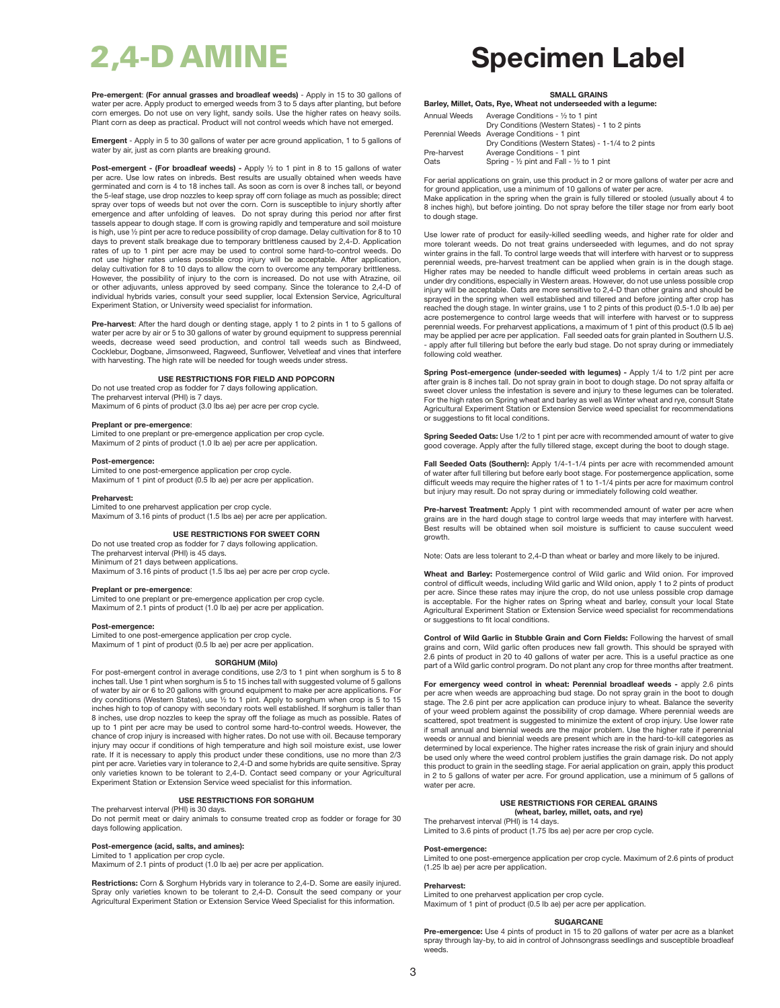**Pre-emergent**: **(For annual grasses and broadleaf weeds)** - Apply in 15 to 30 gallons of water per acre. Apply product to emerged weeds from 3 to 5 days after planting, but before corn emerges. Do not use on very light, sandy soils. Use the higher rates on heavy soils. Plant corn as deep as practical. Product will not control weeds which have not emerged.

**Emergent** - Apply in 5 to 30 gallons of water per acre ground application, 1 to 5 gallons of water by air, just as corn plants are breaking ground.

**Post-emergent - (For broadleaf weeds) -** Apply ½ to 1 pint in 8 to 15 gallons of water per acre. Use low rates on inbreds. Best results are usually obtained when weeds have germinated and corn is 4 to 18 inches tall. As soon as corn is over 8 inches tall, or beyond the 5-leaf stage, use drop nozzles to keep spray off corn foliage as much as possible; direct spray over tops of weeds but not over the corn. Corn is susceptible to injury shortly after emergence and after unfolding of leaves. Do not spray during this period nor after first tassels appear to dough stage. If corn is growing rapidly and temperature and soil moisture is high, use ½ pint per acre to reduce possibility of crop damage. Delay cultivation for 8 to 10 days to prevent stalk breakage due to temporary brittleness caused by 2,4-D. Application rates of up to 1 pint per acre may be used to control some hard-to-control weeds. Do not use higher rates unless possible crop injury will be acceptable. After application, delay cultivation for 8 to 10 days to allow the corn to overcome any temporary brittleness. However, the possibility of injury to the corn is increased. Do not use with Atrazine, oil or other adjuvants, unless approved by seed company. Since the tolerance to 2,4-D of individual hybrids varies, consult your seed supplier, local Extension Service, Agricultural Experiment Station, or University weed specialist for information.

**Pre-harvest:** After the hard dough or denting stage, apply 1 to 2 pints in 1 to 5 gallons of water per acre by air or 5 to 30 gallons of water by ground equipment to suppress perennial weeds, decrease weed seed production, and control tall weeds such as Bindweed, Cocklebur, Dogbane, Jimsonweed, Ragweed, Sunflower, Velvetleaf and vines that interfere with harvesting. The high rate will be needed for tough weeds under stress.

## **USE RESTRICTIONS FOR FIELD AND POPCORN**

Do not use treated crop as fodder for 7 days following application. The preharvest interval (PHI) is 7 days.

Maximum of 6 pints of product (3.0 lbs ae) per acre per crop cycle.

## **Preplant or pre-emergence**:

Limited to one preplant or pre-emergence application per crop cycle. Maximum of 2 pints of product (1.0 lb ae) per acre per application.

## **Post-emergence:**

Limited to one post-emergence application per crop cycle. Maximum of 1 pint of product (0.5 lb ae) per acre per application.

## **Preharvest:**

Limited to one preharvest application per crop cycle. Maximum of 3.16 pints of product (1.5 lbs ae) per acre per application.

## **USE RESTRICTIONS FOR SWEET CORN**

Do not use treated crop as fodder for 7 days following application. The preharvest interval (PHI) is 45 days. Minimum of 21 days between applications.

Maximum of 3.16 pints of product (1.5 lbs ae) per acre per crop cycle.

## **Preplant or pre-emergence**:

Limited to one preplant or pre-emergence application per crop cycle. Maximum of 2.1 pints of product (1.0 lb ae) per acre per application.

## **Post-emergence:**

Limited to one post-emergence application per crop cycle. Maximum of 1 pint of product (0.5 lb ae) per acre per application.

## **SORGHUM (Milo)**

For post-emergent control in average conditions, use 2/3 to 1 pint when sorghum is 5 to 8 inches tall. Use 1 pint when sorghum is 5 to 15 inches tall with suggested volume of 5 gallons of water by air or 6 to 20 gallons with ground equipment to make per acre applications. For dry conditions (Western States), use <sup>1</sup>/<sub>2</sub> to 1 pint. Apply to sorghum when crop is 5 to 15 inches high to top of canopy with secondary roots well established. If sorghum is taller than 8 inches, use drop nozzles to keep the spray off the foliage as much as possible. Rates of up to 1 pint per acre may be used to control some hard-to-control weeds. However, the chance of crop injury is increased with higher rates. Do not use with oil. Because temporary injury may occur if conditions of high temperature and high soil moisture exist, use lower rate. If it is necessary to apply this product under these conditions, use no more than 2/3 pint per acre. Varieties vary in tolerance to 2,4-D and some hybrids are quite sensitive. Spray only varieties known to be tolerant to 2,4-D. Contact seed company or your Agricultural Experiment Station or Extension Service weed specialist for this information.

### **USE RESTRICTIONS FOR SORGHUM**

The preharvest interval (PHI) is 30 days.

Do not permit meat or dairy animals to consume treated crop as fodder or forage for 30 days following application.

## **Post-emergence (acid, salts, and amines):**

Limited to 1 application per crop cycle.

Maximum of 2.1 pints of product (1.0 lb ae) per acre per application.

**Restrictions:** Corn & Sorghum Hybrids vary in tolerance to 2,4-D. Some are easily injured. Spray only varieties known to be tolerant to 2,4-D. Consult the seed company or your Agricultural Experiment Station or Extension Service Weed Specialist for this information.

# 2,4-D AMINE **Specimen Label**

## **SMALL GRAINS**

**Barley, Millet, Oats, Rye, Wheat not underseeded with a legume:**

| Annual Weeds | Average Conditions - 1/2 to 1 pint                 |
|--------------|----------------------------------------------------|
|              | Dry Conditions (Western States) - 1 to 2 pints     |
|              | Perennial Weeds Average Conditions - 1 pint        |
|              | Dry Conditions (Western States) - 1-1/4 to 2 pints |
| Pre-harvest  | Average Conditions - 1 pint                        |
| Oats         | Spring - 1/2 pint and Fall - 1/2 to 1 pint         |
|              |                                                    |

For aerial applications on grain, use this product in 2 or more gallons of water per acre and for ground application, use a minimum of 10 gallons of water per acre.

Make application in the spring when the grain is fully tillered or stooled (usually about 4 to 8 inches high), but before jointing. Do not spray before the tiller stage nor from early boot to dough stage.

Use lower rate of product for easily-killed seedling weeds, and higher rate for older and more tolerant weeds. Do not treat grains underseeded with legumes, and do not spray winter grains in the fall. To control large weeds that will interfere with harvest or to suppress perennial weeds, pre-harvest treatment can be applied when grain is in the dough stage. Higher rates may be needed to handle difficult weed problems in certain areas such as under dry conditions, especially in Western areas. However, do not use unless possible crop injury will be acceptable. Oats are more sensitive to 2,4-D than other grains and should be sprayed in the spring when well established and tillered and before jointing after crop has reached the dough stage. In winter grains, use 1 to 2 pints of this product (0.5-1.0 lb ae) per acre postemergence to control large weeds that will interfere with harvest or to suppress perennial weeds. For preharvest applications, a maximum of 1 pint of this product (0.5 lb ae) may be applied per acre per application. Fall seeded oats for grain planted in Southern U.S. - apply after full tillering but before the early bud stage. Do not spray during or immediately following cold weather.

**Spring Post-emergence (under-seeded with legumes) -** Apply 1/4 to 1/2 pint per acre after grain is 8 inches tall. Do not spray grain in boot to dough stage. Do not spray alfalfa or sweet clover unless the infestation is severe and injury to these legumes can be tolerated. For the high rates on Spring wheat and barley as well as Winter wheat and rye, consult State Agricultural Experiment Station or Extension Service weed specialist for recommendations or suggestions to fit local conditions.

**Spring Seeded Oats:** Use 1/2 to 1 pint per acre with recommended amount of water to give good coverage. Apply after the fully tillered stage, except during the boot to dough stage.

**Fall Seeded Oats (Southern):** Apply 1/4-1-1/4 pints per acre with recommended amount of water after full tillering but before early boot stage. For postemergence application, some difficult weeds may require the higher rates of 1 to 1-1/4 pints per acre for maximum control but injury may result. Do not spray during or immediately following cold weather.

**Pre-harvest Treatment:** Apply 1 pint with recommended amount of water per acre when grains are in the hard dough stage to control large weeds that may interfere with harvest. Best results will be obtained when soil moisture is sufficient to cause succulent weed growth.

Note: Oats are less tolerant to 2,4-D than wheat or barley and more likely to be injured.

**Wheat and Barley:** Postemergence control of Wild garlic and Wild onion. For improved control of difficult weeds, including Wild garlic and Wild onion, apply 1 to 2 pints of product per acre. Since these rates may injure the crop, do not use unless possible crop damage is acceptable. For the higher rates on Spring wheat and barley, consult your local State Agricultural Experiment Station or Extension Service weed specialist for recommendations or suggestions to fit local conditions.

**Control of Wild Garlic in Stubble Grain and Corn Fields:** Following the harvest of small grains and corn, Wild garlic often produces new fall growth. This should be sprayed with 2.6 pints of product in 20 to 40 gallons of water per acre. This is a useful practice as one part of a Wild garlic control program. Do not plant any crop for three months after treatment.

**For emergency weed control in wheat: Perennial broadleaf weeds -** apply 2.6 pints per acre when weeds are approaching bud stage. Do not spray grain in the boot to dough stage. The 2.6 pint per acre application can produce injury to wheat. Balance the severity of your weed problem against the possibility of crop damage. Where perennial weeds are scattered, spot treatment is suggested to minimize the extent of crop injury. Use lower rate if small annual and biennial weeds are the major problem. Use the higher rate if perennial weeds or annual and biennial weeds are present which are in the hard-to-kill categories as determined by local experience. The higher rates increase the risk of grain injury and should be used only where the weed control problem justifies the grain damage risk. Do not apply this product to grain in the seedling stage. For aerial application on grain, apply this product in 2 to 5 gallons of water per acre. For ground application, use a minimum of 5 gallons of water per acre.

## **USE RESTRICTIONS FOR CEREAL GRAINS (wheat, barley, millet, oats, and rye)**

The preharvest interval (PHI) is 14 days. Limited to 3.6 pints of product (1.75 lbs ae) per acre per crop cycle.

## **Post-emergence:**

Limited to one post-emergence application per crop cycle. Maximum of 2.6 pints of product (1.25 lb ae) per acre per application.

## **Preharvest:**

Limited to one preharvest application per crop cycle. Maximum of 1 pint of product (0.5 lb ae) per acre per application.

## **SUGARCANE**

**Pre-emergence:** Use 4 pints of product in 15 to 20 gallons of water per acre as a blanket spray through lay-by, to aid in control of Johnsongrass seedlings and susceptible broadleaf weeds.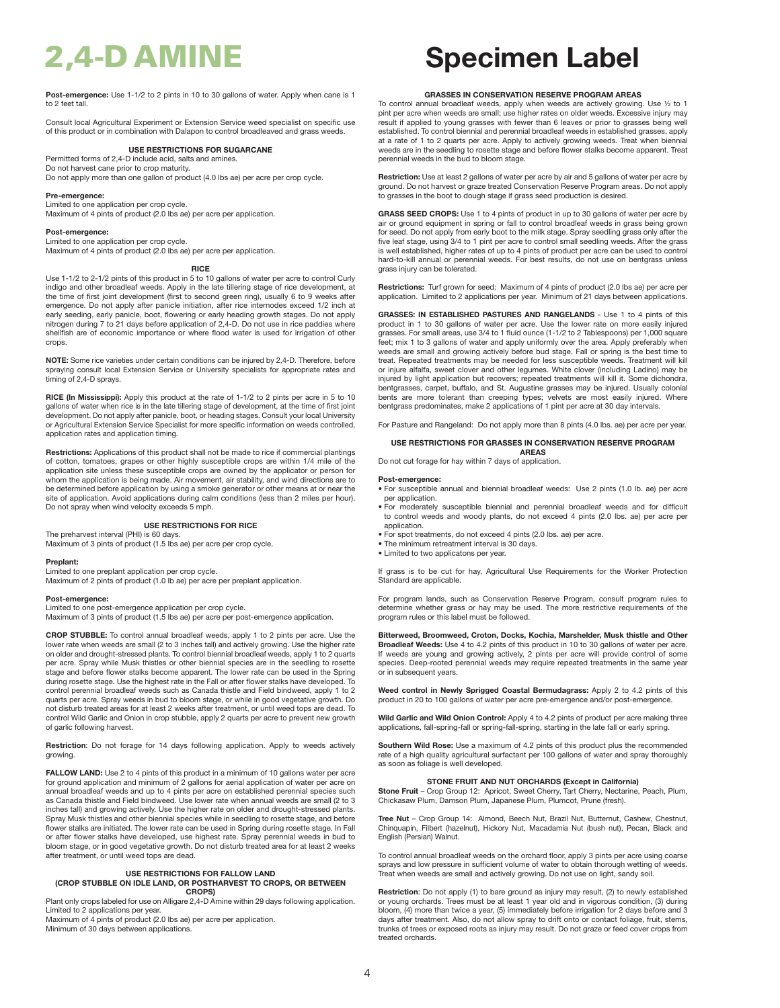**Post-emergence:** Use 1-1/2 to 2 pints in 10 to 30 gallons of water. Apply when cane is 1 to 2 feet tall.

Consult local Agricultural Experiment or Extension Service weed specialist on specific use of this product or in combination with Dalapon to control broadleaved and grass weeds.

## **USE RESTRICTIONS FOR SUGARCANE**

Permitted forms of 2,4-D include acid, salts and amines.

Do not harvest cane prior to crop maturity. Do not apply more than one gallon of product (4.0 lbs ae) per acre per crop cycle.

## **Pre-emergence:**

Limited to one application per crop cycle. Maximum of 4 pints of product (2.0 lbs ae) per acre per application.

## **Post-emergence:**

Limited to one application per crop cycle. Maximum of 4 pints of product (2.0 lbs ae) per acre per application.

## **RICE**

Use 1-1/2 to 2-1/2 pints of this product in 5 to 10 gallons of water per acre to control Curly indigo and other broadleaf weeds. Apply in the late tillering stage of rice development, at the time of first joint development (first to second green ring), usually 6 to 9 weeks after emergence. Do not apply after panicle initiation, after rice internodes exceed 1/2 inch at early seeding, early panicle, boot, flowering or early heading growth stages. Do not apply nitrogen during 7 to 21 days before application of 2,4-D. Do not use in rice paddies where shellfish are of economic importance or where flood water is used for irrigation of other crops.

**NOTE:** Some rice varieties under certain conditions can be injured by 2,4-D. Therefore, before spraying consult local Extension Service or University specialists for appropriate rates and timing of 2,4-D sprays.

**RICE (In Mississippi):** Apply this product at the rate of 1-1/2 to 2 pints per acre in 5 to 10 gallons of water when rice is in the late tillering stage of development, at the time of first joint development. Do not apply after panicle, boot, or heading stages. Consult your local University or Agricultural Extension Service Specialist for more specific information on weeds controlled, application rates and application timing.

**Restrictions:** Applications of this product shall not be made to rice if commercial plantings of cotton, tomatoes, grapes or other highly susceptible crops are within 1/4 mile of the application site unless these susceptible crops are owned by the applicator or person for whom the application is being made. Air movement, air stability, and wind directions are to be determined before application by using a smoke generator or other means at or near the site of application. Avoid applications during calm conditions (less than 2 miles per hour). Do not spray when wind velocity exceeds 5 mph.

## **USE RESTRICTIONS FOR RICE**

The preharvest interval (PHI) is 60 days.

Maximum of 3 pints of product (1.5 lbs ae) per acre per crop cycle.

## **Preplant:**

Limited to one preplant application per crop cycle.

Maximum of 2 pints of product (1.0 lb ae) per acre per preplant application.

## **Post-emergence:**

Limited to one post-emergence application per crop cycle. Maximum of 3 pints of product (1.5 lbs ae) per acre per post-emergence application.

**CROP STUBBLE:** To control annual broadleaf weeds, apply 1 to 2 pints per acre. Use the lower rate when weeds are small (2 to 3 inches tall) and actively growing. Use the higher rate on older and drought-stressed plants. To control biennial broadleaf weeds, apply 1 to 2 quarts per acre. Spray while Musk thistles or other biennial species are in the seedling to rosette stage and before flower stalks become apparent. The lower rate can be used in the Spring during rosette stage. Use the highest rate in the Fall or after flower stalks have developed. To control perennial broadleaf weeds such as Canada thistle and Field bindweed, apply 1 to 2 quarts per acre. Spray weeds in bud to bloom stage, or while in good vegetative growth. Do not disturb treated areas for at least 2 weeks after treatment, or until weed tops are dead. To control Wild Garlic and Onion in crop stubble, apply 2 quarts per acre to prevent new growth of garlic following harvest.

**Restriction**: Do not forage for 14 days following application. Apply to weeds actively growing.

FALLOW LAND: Use 2 to 4 pints of this product in a minimum of 10 gallons water per acre for ground application and minimum of 2 gallons for aerial application of water per acre on annual broadleaf weeds and up to 4 pints per acre on established perennial species such as Canada thistle and Field bindweed. Use lower rate when annual weeds are small (2 to 3 inches tall) and growing actively. Use the higher rate on older and drought-stressed plants. Spray Musk thistles and other biennial species while in seedling to rosette stage, and before flower stalks are initiated. The lower rate can be used in Spring during rosette stage. In Fall or after flower stalks have developed, use highest rate. Spray perennial weeds in bud to bloom stage, or in good vegetative growth. Do not disturb treated area for at least 2 weeks after treatment, or until weed tops are dead.

## **USE RESTRICTIONS FOR FALLOW LAND**

## **(CROP STUBBLE ON IDLE LAND, OR POSTHARVEST TO CROPS, OR BETWEEN CROPS)**

Plant only crops labeled for use on Alligare 2,4-D Amine within 29 days following application. Limited to 2 applications per year.

Maximum of 4 pints of product (2.0 lbs ae) per acre per application. Minimum of 30 days between applications.

# 2,4-D AMINE **Specimen Label**

## **GRASSES IN CONSERVATION RESERVE PROGRAM AREAS**

To control annual broadleaf weeds, apply when weeds are actively growing. Use ½ to 1 pint per acre when weeds are small; use higher rates on older weeds. Excessive injury may result if applied to young grasses with fewer than 6 leaves or prior to grasses being well established. To control biennial and perennial broadleaf weeds in established grasses, apply at a rate of 1 to 2 quarts per acre. Apply to actively growing weeds. Treat when biennial weeds are in the seedling to rosette stage and before flower stalks become apparent. Treat perennial weeds in the bud to bloom stage.

**Restriction:** Use at least 2 gallons of water per acre by air and 5 gallons of water per acre by ground. Do not harvest or graze treated Conservation Reserve Program areas. Do not apply to grasses in the boot to dough stage if grass seed production is desired.

**GRASS SEED CROPS:** Use 1 to 4 pints of product in up to 30 gallons of water per acre by air or ground equipment in spring or fall to control broadleaf weeds in grass being grown for seed. Do not apply from early boot to the milk stage. Spray seedling grass only after the five leaf stage, using 3/4 to 1 pint per acre to control small seedling weeds. After the grass is well established, higher rates of up to 4 pints of product per acre can be used to control hard-to-kill annual or perennial weeds. For best results, do not use on bentgrass unless grass injury can be tolerated.

**Restrictions:** Turf grown for seed: Maximum of 4 pints of product (2.0 lbs ae) per acre per application. Limited to 2 applications per year. Minimum of 21 days between applications.

**GRASSES: IN ESTABLISHED PASTURES AND RANGELANDS** - Use 1 to 4 pints of this product in 1 to 30 gallons of water per acre. Use the lower rate on more easily injured grasses. For small areas, use 3/4 to 1 fluid ounce (1-1/2 to 2 Tablespoons) per 1,000 square feet; mix 1 to 3 gallons of water and apply uniformly over the area. Apply preferably when weeds are small and growing actively before bud stage. Fall or spring is the best time to treat. Repeated treatments may be needed for less susceptible weeds. Treatment will kill or injure alfalfa, sweet clover and other legumes. White clover (including Ladino) may be injured by light application but recovers; repeated treatments will kill it. Some dichondra, bentgrasses, carpet, buffalo, and St. Augustine grasses may be injured. Usually colonial bents are more tolerant than creeping types; velvets are most easily injured. Where bentgrass predominates, make 2 applications of 1 pint per acre at 30 day intervals.

For Pasture and Rangeland: Do not apply more than 8 pints (4.0 lbs. ae) per acre per year.

## **USE RESTRICTIONS FOR GRASSES IN CONSERVATION RESERVE PROGRAM AREAS**

Do not cut forage for hay within 7 days of application.

## **Post-emergence:**

- For susceptible annual and biennial broadleaf weeds: Use 2 pints (1.0 lb. ae) per acre per application.
- For moderately susceptible biennial and perennial broadleaf weeds and for difficult to control weeds and woody plants, do not exceed 4 pints (2.0 lbs. ae) per acre per application.
- For spot treatments, do not exceed 4 pints (2.0 lbs. ae) per acre.
- The minimum retreatment interval is 30 days.
- Limited to two applicatons per year.

If grass is to be cut for hay, Agricultural Use Requirements for the Worker Protection Standard are applicable.

For program lands, such as Conservation Reserve Program, consult program rules to determine whether grass or hay may be used. The more restrictive requirements of the program rules or this label must be followed.

**Bitterweed, Broomweed, Croton, Docks, Kochia, Marshelder, Musk thistle and Other Broadleaf Weeds:** Use 4 to 4.2 pints of this product in 10 to 30 gallons of water per acre. If weeds are young and growing actively, 2 pints per acre will provide control of some species. Deep-rooted perennial weeds may require repeated treatments in the same year or in subsequent years.

**Weed control in Newly Sprigged Coastal Bermudagrass:** Apply 2 to 4.2 pints of this product in 20 to 100 gallons of water per acre pre-emergence and/or post-emergence.

**Wild Garlic and Wild Onion Control:** Apply 4 to 4.2 pints of product per acre making three applications, fall-spring-fall or spring-fall-spring, starting in the late fall or early spring.

**Southern Wild Rose:** Use a maximum of 4.2 pints of this product plus the recommended rate of a high quality agricultural surfactant per 100 gallons of water and spray thoroughly as soon as foliage is well developed.

## **STONE FRUIT AND NUT ORCHARDS (Except in California)**

**Stone Fruit** – Crop Group 12: Apricot, Sweet Cherry, Tart Cherry, Nectarine, Peach, Plum,<br>Chickasaw Plum, Damson Plum, Japanese Plum, Plumcot, Prune (fresh).

**Tree Nut** – Crop Group 14: Almond, Beech Nut, Brazil Nut, Butternut, Cashew, Chestnut,<br>Chinquapin, Filbert (hazelnut), Hickory Nut, Macadamia Nut (bush nut), Pecan, Black and English (Persian) Walnut.

To control annual broadleaf weeds on the orchard floor, apply 3 pints per acre using coarse sprays and low pressure in sufficient volume of water to obtain thorough wetting of weeds. Treat when weeds are small and actively growing. Do not use on light, sandy soil

**Restriction**: Do not apply (1) to bare ground as injury may result, (2) to newly established or young orchards. Trees must be at least 1 year old and in vigorous condition, (3) during bloom, (4) more than twice a year, (5) immediately before irrigation for 2 days before and 3 days after treatment. Also, do not allow spray to drift onto or contact foliage, fruit, stems, trunks of trees or exposed roots as injury may result. Do not graze or feed cover crops from treated orchards.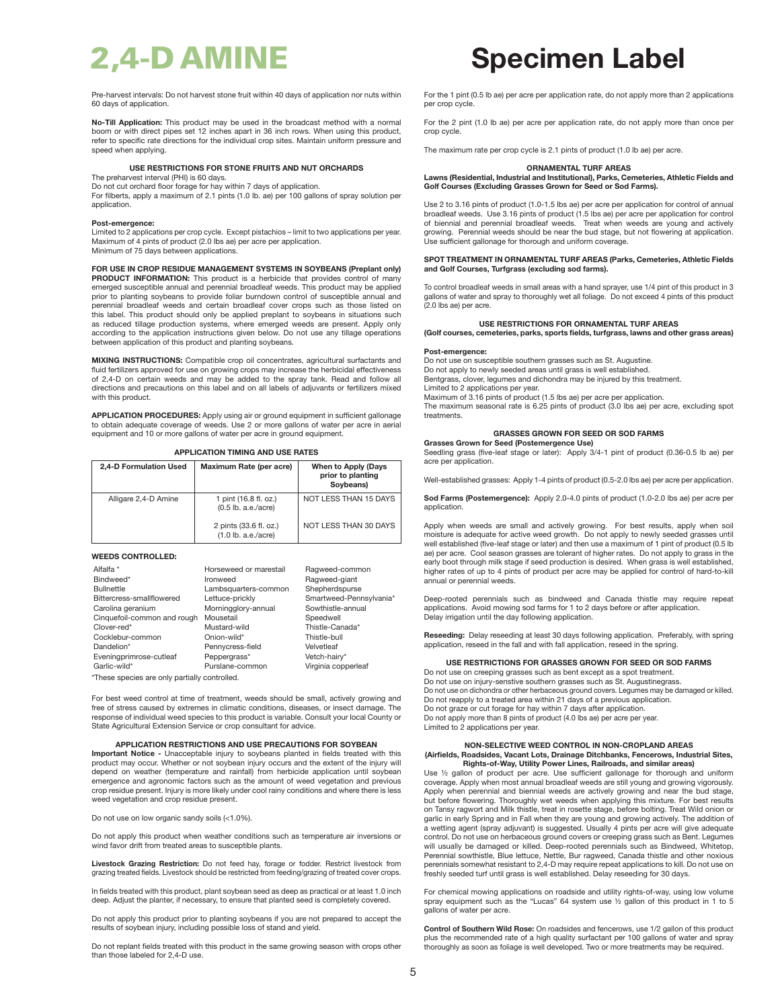Pre-harvest intervals: Do not harvest stone fruit within 40 days of application nor nuts within 60 days of application.

**No-Till Application:** This product may be used in the broadcast method with a normal boom or with direct pipes set 12 inches apart in 36 inch rows. When using this product, refer to specific rate directions for the individual crop sites. Maintain uniform pressure and speed when applying.

## **USE RESTRICTIONS FOR STONE FRUITS AND NUT ORCHARDS**

The preharvest interval (PHI) is 60 days. Do not cut orchard floor forage for hay within 7 days of application.

For filberts, apply a maximum of 2.1 pints (1.0 lb. ae) per 100 gallons of spray solution per application.

## **Post-emergence:**

Limited to 2 applications per crop cycle. Except pistachios – limit to two applications per year. Maximum of 4 pints of product (2.0 lbs ae) per acre per application. Minimum of 75 days between applications.

**FOR USE IN CROP RESIDUE MANAGEMENT SYSTEMS IN SOYBEANS (Preplant only) PRODUCT INFORMATION:** This product is a herbicide that provides control of many emerged susceptible annual and perennial broadleaf weeds. This product may be applied prior to planting soybeans to provide foliar burndown control of susceptible annual and perennial broadleaf weeds and certain broadleaf cover crops such as those listed on this label. This product should only be applied preplant to soybeans in situations such as reduced tillage production systems, where emerged weeds are present. Apply only according to the application instructions given below. Do not use any tillage operations between application of this product and planting soybeans.

**MIXING INSTRUCTIONS:** Compatible crop oil concentrates, agricultural surfactants and fluid fertilizers approved for use on growing crops may increase the herbicidal effectiveness of 2,4-D on certain weeds and may be added to the spray tank. Read and follow all directions and precautions on this label and on all labels of adjuvants or fertilizers mixed with this product.

**APPLICATION PROCEDURES:** Apply using air or ground equipment in sufficient gallonage to obtain adequate coverage of weeds. Use 2 or more gallons of water per acre in aerial equipment and 10 or more gallons of water per acre in ground equipment.

## **APPLICATION TIMING AND USE RATES**

| 2.4-D Formulation Used | Maximum Rate (per acre)                         | When to Apply (Days<br>prior to planting<br>Sovbeans) |
|------------------------|-------------------------------------------------|-------------------------------------------------------|
| Alligare 2,4-D Amine   | 1 pint (16.8 fl. oz.)<br>$(0.5$ lb. a.e./acre)  | NOT LESS THAN 15 DAYS                                 |
|                        | 2 pints (33.6 fl. oz.)<br>$(1.0$ lb. a.e./acre) | NOT LESS THAN 30 DAYS                                 |

## **WEEDS CONTROLLED:**

| Alfalfa *<br>Bindweed*<br><b>Bullnettle</b><br>Bittercress-smallflowered<br>Carolina geranium<br>Cinquefoil-common and rough<br>Clover-red*<br>Cocklebur-common<br>Dandelion*<br>Eveningprimrose-cutleaf | Horseweed or marestail<br>Ironweed<br>Lambsquarters-common<br>Lettuce-prickly<br>Morningglory-annual<br>Mousetail<br>Mustard-wild<br>Onion-wild*<br>Pennycress-field<br>Peppergrass* | Ragweed-common<br>Ragweed-giant<br>Shepherdspurse<br>Smartweed-Pennsylvania*<br>Sowthistle-annual<br>Speedwell<br>Thistle-Canada*<br>Thistle-bull<br>Velvetleaf<br>Vetch-hairy* |
|----------------------------------------------------------------------------------------------------------------------------------------------------------------------------------------------------------|--------------------------------------------------------------------------------------------------------------------------------------------------------------------------------------|---------------------------------------------------------------------------------------------------------------------------------------------------------------------------------|
| Garlic-wild*                                                                                                                                                                                             | Purslane-common                                                                                                                                                                      | Virginia copperleaf                                                                                                                                                             |
|                                                                                                                                                                                                          |                                                                                                                                                                                      |                                                                                                                                                                                 |

\*These species are only partially controlled.

For best weed control at time of treatment, weeds should be small, actively growing and free of stress caused by extremes in climatic conditions, diseases, or insect damage. The response of individual weed species to this product is variable. Consult your local County or State Agricultural Extension Service or crop consultant for advice.

## **APPLICATION RESTRICTIONS AND USE PRECAUTIONS FOR SOYBEAN**

**Important Notice -** Unacceptable injury to soybeans planted in fields treated with this product may occur. Whether or not soybean injury occurs and the extent of the injury will depend on weather (temperature and rainfall) from herbicide application until soybean emergence and agronomic factors such as the amount of weed vegetation and previous crop residue present. Injury is more likely under cool rainy conditions and where there is less weed vegetation and crop residue present.

Do not use on low organic sandy soils (<1.0%).

Do not apply this product when weather conditions such as temperature air inversions or wind favor drift from treated areas to susceptible plants.

**Livestock Grazing Restriction:** Do not feed hay, forage or fodder. Restrict livestock from grazing treated fields. Livestock should be restricted from feeding/grazing of treated cover crops.

In fields treated with this product, plant soybean seed as deep as practical or at least 1.0 inch deep. Adjust the planter, if necessary, to ensure that planted seed is completely covered.

Do not apply this product prior to planting soybeans if you are not prepared to accept the results of soybean injury, including possible loss of stand and yield.

Do not replant fields treated with this product in the same growing season with crops other than those labeled for 2,4-D use.

# 2,4-D AMINE **Specimen Label**

For the 1 pint (0.5 lb ae) per acre per application rate, do not apply more than 2 applications per crop cycle.

For the 2 pint (1.0 lb ae) per acre per application rate, do not apply more than once per crop cycle.

The maximum rate per crop cycle is 2.1 pints of product (1.0 lb ae) per acre.

## **ORNAMENTAL TURF AREAS**

## **Lawns (Residential, Industrial and Institutional), Parks, Cemeteries, Athletic Fields and Golf Courses (Excluding Grasses Grown for Seed or Sod Farms).**

Use 2 to 3.16 pints of product (1.0-1.5 lbs ae) per acre per application for control of annual broadleaf weeds. Use 3.16 pints of product (1.5 lbs ae) per acre per application for control of biennial and perennial broadleaf weeds. Treat when weeds are young and actively<br>growing. Perennial weeds should be near the bud stage, but not flowering at application. Use sufficient gallonage for thorough and uniform coverage.

## **SPOT TREATMENT IN ORNAMENTAL TURF AREAS (Parks, Cemeteries, Athletic Fields and Golf Courses, Turfgrass (excluding sod farms).**

To control broadleaf weeds in small areas with a hand sprayer, use 1/4 pint of this product in 3 gallons of water and spray to thoroughly wet all foliage. Do not exceed 4 pints of this product (2.0 lbs ae) per acre.

## **USE RESTRICTIONS FOR ORNAMENTAL TURF AREAS**

**(Golf courses, cemeteries, parks, sports fields, turfgrass, lawns and other grass areas)**

## **Post-emergence:**

Do not use on susceptible southern grasses such as St. Augustine. Do not apply to newly seeded areas until grass is well established. Bentgrass, clover, legumes and dichondra may be injured by this treatment. Limited to 2 applications per year. Maximum of 3.16 pints of product (1.5 lbs ae) per acre per application. The maximum seasonal rate is 6.25 pints of product (3.0 lbs ae) per acre, excluding spot treatments.

## **GRASSES GROWN FOR SEED OR SOD FARMS**

**Grasses Grown for Seed (Postemergence Use)** Seedling grass (five-leaf stage or later): Apply 3/4-1 pint of product (0.36-0.5 lb ae) per acre per application.

Well-established grasses: Apply 1-4 pints of product (0.5-2.0 lbs ae) per acre per application.

**Sod Farms (Postemergence):** Apply 2.0-4.0 pints of product (1.0-2.0 lbs ae) per acre per application.

Apply when weeds are small and actively growing. For best results, apply when soil moisture is adequate for active weed growth. Do not apply to newly seeded grasses until well established (five-leaf stage or later) and then use a maximum of 1 pint of product (0.5 lb ae) per acre. Cool season grasses are tolerant of higher rates. Do not apply to grass in the early boot through milk stage if seed production is desired. When grass is well established,<br>higher rates of up to 4 pints of product per acre may be applied for control of hard-to-kill annual or perennial weeds.

Deep-rooted perennials such as bindweed and Canada thistle may require repeat applications. Avoid mowing sod farms for 1 to 2 days before or after application. Delay irrigation until the day following application.

**Reseeding:** Delay reseeding at least 30 days following application. Preferably, with spring application, reseed in the fall and with fall application, reseed in the spring.

## **USE RESTRICTIONS FOR GRASSES GROWN FOR SEED OR SOD FARMS**

Do not use on creeping grasses such as bent except as a spot treatment. Do not use on injury-senstive southern grasses such as St. Augustinegrass. Do not use on dichondra or other herbaceous ground covers. Legumes may be damaged or killed. Do not reapply to a treated area within 21 days of a previous application. Do not graze or cut forage for hay within 7 days after application. Do not apply more than 8 pints of product (4.0 lbs ae) per acre per year. Limited to 2 applications per year.

**NON-SELECTIVE WEED CONTROL IN NON-CROPLAND AREAS (Airfields, Roadsides, Vacant Lots, Drainage Ditchbanks, Fencerows, Industrial Sites, Rights-of-Way, Utility Power Lines, Railroads, and similar areas)**

Use ½ gallon of product per acre. Use sufficient gallonage for thorough and uniform coverage. Apply when most annual broadleaf weeds are still young and growing vigorously. Apply when perennial and biennial weeds are actively growing and near the bud stage, but before flowering. Thoroughly wet weeds when applying this mixture. For best results on Tansy ragwort and Milk thistle, treat in rosette stage, before bolting. Treat Wild onion or garlic in early Spring and in Fall when they are young and growing actively. The addition of a wetting agent (spray adjuvant) is suggested. Usually 4 pints per acre will give adequate control. Do not use on herbaceous ground covers or creeping grass such as Bent. Legumes will usually be damaged or killed. Deep-rooted perennials such as Bindweed, Whitetop, Perennial sowthistle, Blue lettuce, Nettle, Bur ragweed, Canada thistle and other noxious perennials somewhat resistant to 2,4-D may require repeat applications to kill. Do not use on freshly seeded turf until grass is well established. Delay reseeding for 30 days.

For chemical mowing applications on roadside and utility rights-of-way, using low volume spray equipment such as the "Lucas" 64 system use ½ gallon of this product in 1 to 5 gallons of water per acre.

**Control of Southern Wild Rose:** On roadsides and fencerows, use 1/2 gallon of this product plus the recommended rate of a high quality surfactant per 100 gallons of water and spray thoroughly as soon as foliage is well developed. Two or more treatments may be required.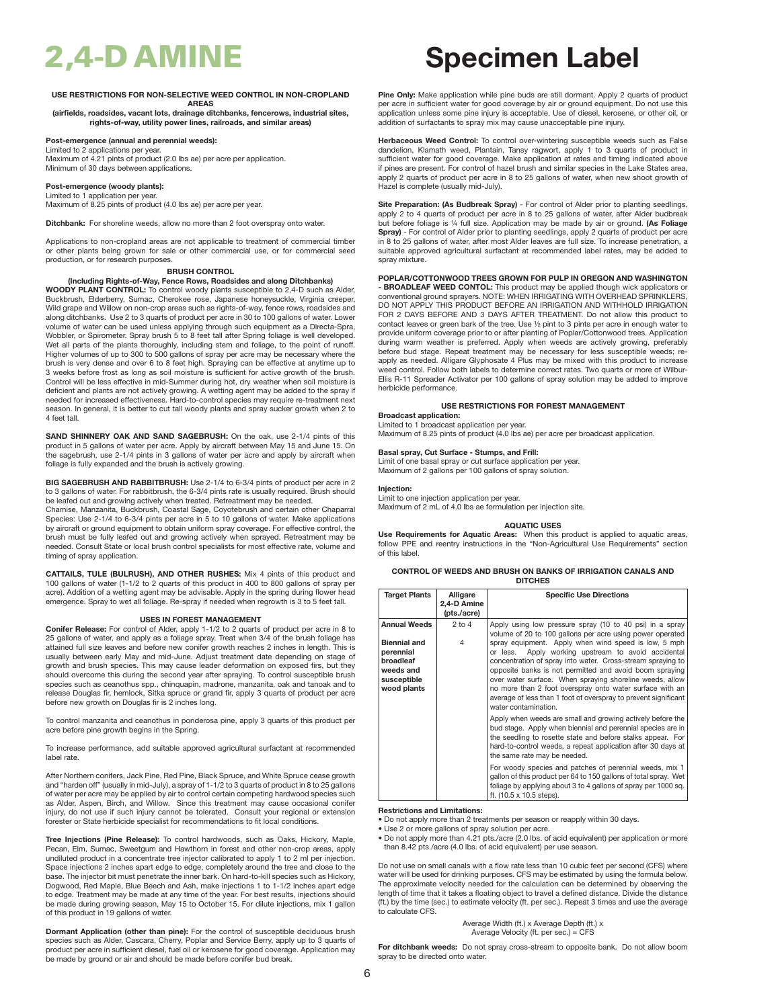## **USE RESTRICTIONS FOR NON-SELECTIVE WEED CONTROL IN NON-CROPLAND AREAS**

**(airfields, roadsides, vacant lots, drainage ditchbanks, fencerows, industrial sites, rights-of-way, utility power lines, railroads, and similar areas)**

## **Post-emergence (annual and perennial weeds):**

Limited to 2 applications per year. Maximum of 4.21 pints of product (2.0 lbs ae) per acre per application. Minimum of 30 days between applications.

### **Post-emergence (woody plants):** Limited to 1 application per year.

Maximum of 8.25 pints of product (4.0 lbs ae) per acre per year.

**Ditchbank:** For shoreline weeds, allow no more than 2 foot overspray onto water.

Applications to non-cropland areas are not applicable to treatment of commercial timber or other plants being grown for sale or other commercial use, or for commercial seed production, or for research purposes.

## **BRUSH CONTROL**

**(Including Rights-of-Way, Fence Rows, Roadsides and along Ditchbanks) WOODY PLANT CONTROL:** To control woody plants susceptible to 2,4-D such as Alder,<br>Buckbrush, Elderberry, Sumac, Cherokee rose, Japanese honeysuckle, Virginia creeper, Wild grape and Willow on non-crop areas such as rights-of-way, fence rows, roadsides and along ditchbanks. Use 2 to 3 quarts of product per acre in 30 to 100 gallons of water. Lower volume of water can be used unless applying through such equipment as a Directa-Spra, Wobbler, or Spirometer. Spray brush 5 to 8 feet tall after Spring foliage is well developed. Wet all parts of the plants thoroughly, including stem and foliage, to the point of runoff. Higher volumes of up to 300 to 500 gallons of spray per acre may be necessary where the brush is very dense and over 6 to 8 feet high. Spraying can be effective at anytime up to 3 weeks before frost as long as soil moisture is sufficient for active growth of the brush. Control will be less effective in mid-Summer during hot, dry weather when soil moisture is deficient and plants are not actively growing. A wetting agent may be added to the spray if needed for increased effectiveness. Hard-to-control species may require re-treatment next season. In general, it is better to cut tall woody plants and spray sucker growth when 2 to 4 feet tall.

**SAND SHINNERY OAK AND SAND SAGEBRUSH:** On the oak, use 2-1/4 pints of this product in 5 gallons of water per acre. Apply by aircraft between May 15 and June 15. On the sagebrush, use 2-1/4 pints in 3 gallons of water per acre and apply by aircraft when foliage is fully expanded and the brush is actively growing.

**BIG SAGEBRUSH AND RABBITBRUSH:** Use 2-1/4 to 6-3/4 pints of product per acre in 2 to 3 gallons of water. For rabbitbrush, the 6-3/4 pints rate is usually required. Brush should be leafed out and growing actively when treated. Retreatment may be needed.

Chamise, Manzanita, Buckbrush, Coastal Sage, Coyotebrush and certain other Chaparral Species: Use 2-1/4 to 6-3/4 pints per acre in 5 to 10 gallons of water. Make applications by aircraft or ground equipment to obtain uniform spray coverage. For effective control, the brush must be fully leafed out and growing actively when sprayed. Retreatment may be needed. Consult State or local brush control specialists for most effective rate, volume and timing of spray application.

**CATTAILS, TULE (BULRUSH), AND OTHER RUSHES:** Mix 4 pints of this product and 100 gallons of water (1-1/2 to 2 quarts of this product in 400 to 800 gallons of spray per acre). Addition of a wetting agent may be advisable. Apply in the spring during flower head emergence. Spray to wet all foliage. Re-spray if needed when regrowth is 3 to 5 feet tall.

## **USES IN FOREST MANAGEMENT**

**Conifer Release:** For control of Alder, apply 1-1/2 to 2 quarts of product per acre in 8 to 25 gallons of water, and apply as a foliage spray. Treat when 3/4 of the brush foliage has attained full size leaves and before new conifer growth reaches 2 inches in length. This is usually between early May and mid-June. Adjust treatment date depending on stage of growth and brush species. This may cause leader deformation on exposed firs, but they should overcome this during the second year after spraying. To control susceptible brush species such as ceanothus spp., chinquapin, madrone, manzanita, oak and tanoak and to release Douglas fir, hemlock, Sitka spruce or grand fir, apply 3 quarts of product per acre before new growth on Douglas fir is 2 inches long.

To control manzanita and ceanothus in ponderosa pine, apply 3 quarts of this product per acre before pine growth begins in the Spring.

To increase performance, add suitable approved agricultural surfactant at recommended label rate.

After Northern conifers, Jack Pine, Red Pine, Black Spruce, and White Spruce cease growth and "harden off" (usually in mid-July), a spray of 1-1/2 to 3 quarts of product in 8 to 25 gallons<br>of water per acre may be applied by air to control certain competing hardwood species such<br>as Alder, Aspen, Birch, and Will injury, do not use if such injury cannot be tolerated. Consult your regional or extension forester or State herbicide specialist for recommendations to fit local conditions.

**Tree Injections (Pine Release):** To control hardwoods, such as Oaks, Hickory, Maple, Pecan, Elm, Sumac, Sweetgum and Hawthorn in forest and other non-crop areas, apply undiluted product in a concentrate tree injector calibrated to apply 1 to 2 ml per injection. Space injections 2 inches apart edge to edge, completely around the tree and close to the base. The injector bit must penetrate the inner bark. On hard-to-kill species such as Hickory, Dogwood, Red Maple, Blue Beech and Ash, make injections 1 to 1-1/2 inches apart edge to edge. Treatment may be made at any time of the year. For best results, injections should be made during growing season, May 15 to October 15. For dilute injections, mix 1 gallon of this product in 19 gallons of water.

**Dormant Application (other than pine):** For the control of susceptible deciduous brush species such as Alder, Cascara, Cherry, Poplar and Service Berry, apply up to 3 quarts of product per acre in sufficient diesel, fuel oil or kerosene for good coverage. Application may be made by ground or air and should be made before conifer bud break.

# 2,4-D AMINE **Specimen Label**

**Pine Only:** Make application while pine buds are still dormant. Apply 2 quarts of product per acre in sufficient water for good coverage by air or ground equipment. Do not use this application unless some pine injury is acceptable. Use of diesel, kerosene, or other oil, or addition of surfactants to spray mix may cause unacceptable pine injury.

**Herbaceous Weed Control:** To control over-wintering susceptible weeds such as False dandelion, Klamath weed, Plantain, Tansy ragwort, apply 1 to 3 quarts of product in sufficient water for good coverage. Make application at rates and timing indicated above if pines are present. For control of hazel brush and similar species in the Lake States area, apply 2 quarts of product per acre in 8 to 25 gallons of water, when new shoot growth of Hazel is complete (usually mid-July).

**Site Preparation: (As Budbreak Spray)** - For control of Alder prior to planting seedlings, apply 2 to 4 quarts of product per acre in 8 to 25 gallons of water, after Alder budbreak but before foliage is ¼ full size. Application may be made by air or ground. **(As Foliage Spray)** - For control of Alder prior to planting seedlings, apply 2 quarts of product per acre in 8 to 25 gallons of water, after most Alder leaves are full size. To increase penetration, a suitable approved agricultural surfactant at recommended label rates, may be added to spray mixture.

## **POPLAR/COTTONWOOD TREES GROWN FOR PULP IN OREGON AND WASHINGTON**

**- BROADLEAF WEED CONTOL:** This product may be applied though wick applicators or conventional ground sprayers. NOTE: WHEN IRRIGATING WITH OVERHEAD SPRINKLERS, DO NOT APPLY THIS PRODUCT BEFORE AN IRRIGATION AND WITHHOLD IRRIGATION FOR 2 DAYS BEFORE AND 3 DAYS AFTER TREATMENT. Do not allow this product to contact leaves or green bark of the tree. Use ½ pint to 3 pints per acre in enough water to provide uniform coverage prior to or after planting of Poplar/Cottonwood trees. Application during warm weather is preferred. Apply when weeds are actively growing, preferably before bud stage. Repeat treatment may be necessary for less susceptible weeds; reapply as needed. Alligare Glyphosate 4 Plus may be mixed with this product to increase weed control. Follow both labels to determine correct rates. Two quarts or more of Wilbur-Ellis R-11 Spreader Activator per 100 gallons of spray solution may be added to improve herbicide performance.

## **USE RESTRICTIONS FOR FOREST MANAGEMENT**

## **Broadcast application:**

Limited to 1 broadcast application per year. Maximum of 8.25 pints of product (4.0 lbs ae) per acre per broadcast application.

## **Basal spray, Cut Surface - Stumps, and Frill:**

Limit of one basal spray or cut surface application per year. Maximum of 2 gallons per 100 gallons of spray solution.

## **Injection:**

Limit to one injection application per year. Maximum of 2 mL of 4.0 lbs ae formulation per injection site.

## **AQUATIC USES**

**Use Requirements for Aquatic Areas:** When this product is applied to aquatic areas, follow PPE and reentry instructions in the "Non-Agricultural Use Requirements" section of this label.

## **CONTROL OF WEEDS AND BRUSH ON BANKS OF IRRIGATION CANALS AND DITCHES**

| <b>Target Plants</b> | Alligare<br>2,4-D Amine<br>(pts./acre) | <b>Specific Use Directions</b>                                                                                                                                                                                                                                                           |
|----------------------|----------------------------------------|------------------------------------------------------------------------------------------------------------------------------------------------------------------------------------------------------------------------------------------------------------------------------------------|
| <b>Annual Weeds</b>  | $2$ to $4$                             |                                                                                                                                                                                                                                                                                          |
|                      |                                        | Apply using low pressure spray (10 to 40 psi) in a spray<br>volume of 20 to 100 gallons per acre using power operated                                                                                                                                                                    |
| <b>Biennial and</b>  | 4                                      | spray equipment. Apply when wind speed is low, 5 mph                                                                                                                                                                                                                                     |
| perennial            |                                        | Apply working upstream to avoid accidental<br>or less.                                                                                                                                                                                                                                   |
| broadleaf            |                                        | concentration of spray into water. Cross-stream spraying to                                                                                                                                                                                                                              |
| weeds and            |                                        | opposite banks is not permitted and avoid boom spraying                                                                                                                                                                                                                                  |
| susceptible          |                                        | over water surface. When spraying shoreline weeds, allow                                                                                                                                                                                                                                 |
| wood plants          |                                        | no more than 2 foot overspray onto water surface with an<br>average of less than 1 foot of overspray to prevent significant<br>water contamination.                                                                                                                                      |
|                      |                                        | Apply when weeds are small and growing actively before the<br>bud stage. Apply when biennial and perennial species are in<br>the seedling to rosette state and before stalks appear. For<br>hard-to-control weeds, a repeat application after 30 days at<br>the same rate may be needed. |
|                      |                                        | For woody species and patches of perennial weeds, mix 1<br>gallon of this product per 64 to 150 gallons of total spray. Wet<br>foliage by applying about 3 to 4 gallons of spray per 1000 sq.<br>ft. (10.5 x 10.5 steps).                                                                |

## **Restrictions and Limitations:**

• Do not apply more than 2 treatments per season or reapply within 30 days.

• Use 2 or more gallons of spray solution per acre.

• Do not apply more than 4.21 pts./acre (2.0 lbs. of acid equivalent) per application or more than 8.42 pts./acre (4.0 lbs. of acid equivalent) per use season.

Do not use on small canals with a flow rate less than 10 cubic feet per second (CFS) where water will be used for drinking purposes. CFS may be estimated by using the formula below. The approximate velocity needed for the calculation can be determined by observing the length of time that it takes a floating object to travel a defined distance. Divide the distance (ft.) by the time (sec.) to estimate velocity (ft. per sec.). Repeat 3 times and use the average to calculate CFS.

> Average Width (ft.) x Average Depth (ft.) x Average Velocity (ft. per sec.) = CFS

**For ditchbank weeds:** Do not spray cross-stream to opposite bank. Do not allow boom spray to be directed onto water.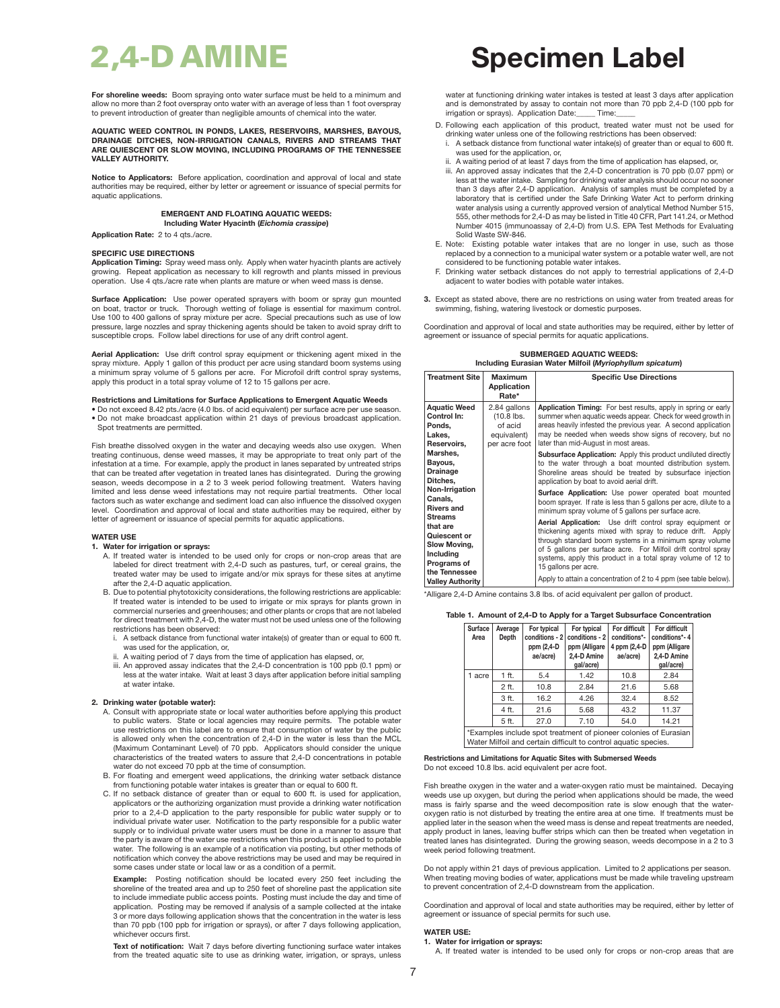**For shoreline weeds:** Boom spraying onto water surface must be held to a minimum and allow no more than 2 foot overspray onto water with an average of less than 1 foot overspray to prevent introduction of greater than negligible amounts of chemical into the water.

## **AQUATIC WEED CONTROL IN PONDS, LAKES, RESERVOIRS, MARSHES, BAYOUS, DRAINAGE DITCHES, NON-IRRIGATION CANALS, RIVERS AND STREAMS THAT ARE QUIESCENT OR SLOW MOVING, INCLUDING PROGRAMS OF THE TENNESSEE VALLEY AUTHORITY.**

**Notice to Applicators:** Before application, coordination and approval of local and state authorities may be required, either by letter or agreement or issuance of special permits for aquatic applications.

## **EMERGENT AND FLOATING AQUATIC WEEDS: Including Water Hyacinth (***Eichomia crassipe***)**

**Application Rate:** 2 to 4 qts./acre.

## **SPECIFIC USE DIRECTIONS**

**Application Timing:** Spray weed mass only. Apply when water hyacinth plants are actively growing. Repeat application as necessary to kill regrowth and plants missed in previous operation. Use 4 qts./acre rate when plants are mature or when weed mass is dense.

**Surface Application:** Use power operated sprayers with boom or spray gun mounted on boat, tractor or truck. Thorough wetting of foliage is essential for maximum control. Use 100 to 400 gallons of spray mixture per acre. Special precautions such as use of low pressure, large nozzles and spray thickening agents should be taken to avoid spray drift to susceptible crops. Follow label directions for use of any drift control agent.

**Aerial Application:** Use drift control spray equipment or thickening agent mixed in the spray mixture. Apply 1 gallon of this product per acre using standard boom systems using a minimum spray volume of 5 gallons per acre. For Microfoil drift control spray systems, apply this product in a total spray volume of 12 to 15 gallons per acre

## **Restrictions and Limitations for Surface Applications to Emergent Aquatic Weeds**

• Do not exceed 8.42 pts./acre (4.0 lbs. of acid equivalent) per surface acre per use season. • Do not make broadcast application within 21 days of previous broadcast application. Spot treatments are permitted.

Fish breathe dissolved oxygen in the water and decaying weeds also use oxygen. When treating continuous, dense weed masses, it may be appropriate to treat only part of the infestation at a time. For example, apply the product in lanes separated by untreated strips that can be treated after vegetation in treated lanes has disintegrated. During the growing season, weeds decompose in a 2 to 3 week period following treatment. Waters having limited and less dense weed infestations may not require partial treatments. Other local factors such as water exchange and sediment load can also influence the dissolved oxygen level. Coordination and approval of local and state authorities may be required, either by letter of agreement or issuance of special permits for aquatic applications.

## **WATER USE**

## **1. Water for irrigation or sprays:**

- A. If treated water is intended to be used only for crops or non-crop areas that are labeled for direct treatment with 2,4-D such as pastures, turf, or cereal grains, the treated water may be used to irrigate and/or mix sprays for these sites at anytime after the 2,4-D aquatic application.
- B. Due to potential phytotoxicity considerations, the following restrictions are applicable: If treated water is intended to be used to irrigate or mix sprays for plants grown in commercial nurseries and greenhouses; and other plants or crops that are not labeled for direct treatment with 2,4-D, the water must not be used unless one of the following restrictions has been observed:
	- i. A setback distance from functional water intake(s) of greater than or equal to 600 ft. was used for the application, or,
	-
	- ii. A waiting period of 7 days from the time of application has elapsed, or, iii. An approved assay indicates that the 2,4-D concentration is 100 ppb (0.1 ppm) or less at the water intake. Wait at least 3 days after application before initial sampling at water intake.

## **2. Drinking water (potable water):**

- A. Consult with appropriate state or local water authorities before applying this product to public waters. State or local agencies may require permits. The potable water use restrictions on this label are to ensure that consumption of water by the public is allowed only when the concentration of 2,4-D in the water is less than the MCL (Maximum Contaminant Level) of 70 ppb. Applicators should consider the unique characteristics of the treated waters to assure that 2,4-D concentrations in potable water do not exceed 70 ppb at the time of consumption.
- B. For floating and emergent weed applications, the drinking water setback distance from functioning potable water intakes is greater than or equal to 600 ft.
- C. If no setback distance of greater than or equal to 600 ft. is used for application, applicators or the authorizing organization must provide a drinking water notification prior to a 2,4-D application to the party responsible for public water supply or to individual private water user. Notification to the party responsible for a public water supply or to individual private water users must be done in a manner to assure that the party is aware of the water use restrictions when this product is applied to potable water. The following is an example of a notification via posting, but other methods of notification which convey the above restrictions may be used and may be required in some cases under state or local law or as a condition of a permit.

**Example:** Posting notification should be located every 250 feet including the shoreline of the treated area and up to 250 feet of shoreline past the application site to include immediate public access points. Posting must include the day and time of application. Posting may be removed if analysis of a sample collected at the intake 3 or more days following application shows that the concentration in the water is less than 70 ppb (100 ppb for irrigation or sprays), or after 7 days following application, whichever occurs first.

**Text of notification:** Wait 7 days before diverting functioning surface water intakes from the treated aquatic site to use as drinking water, irrigation, or sprays, unless

# 2,4-D AMINE **Specimen Label**

water at functioning drinking water intakes is tested at least 3 days after application and is demonstrated by assay to contain not more than 70 ppb 2,4-D (100 ppb for<br>irrigation or sprays). Application Date: Time: irrigation or sprays). Application Date:

- D. Following each application of this product, treated water must not be used for drinking water unless one of the following restrictions has been observed: i. A setback distance from functional water intake(s) of greater than or equal to 600 ft.
	- was used for the application, or, ii. A waiting period of at least 7 days from the time of application has elapsed, or,
	- iii. An approved assay indicates that the 2,4-D concentration is 70 ppb (0.07 ppm) or less at the water intake. Sampling for drinking water analysis should occur no sooner than 3 days after 2,4-D application. Analysis of samples must be completed by a laboratory that is certified under the Safe Drinking Water Act to perform drinking water analysis using a currently approved version of analytical Method Number 515, 555, other methods for 2,4-D as may be listed in Title 40 CFR, Part 141.24, or Method Number 4015 (immunoassay of 2,4-D) from U.S. EPA Test Methods for Evaluating Solid Waste SW-846.
- E. Note: Existing potable water intakes that are no longer in use, such as those replaced by a connection to a municipal water system or a potable water well, are not considered to be functioning potable water intakes.
- F. Drinking water setback distances do not apply to terrestrial applications of 2,4-D adiacent to water bodies with potable water intakes
- **3.** Except as stated above, there are no restrictions on using water from treated areas for swimming, fishing, watering livestock or domestic purpos

Coordination and approval of local and state authorities may be required, either by letter of agreement or issuance of special permits for aquatic applications.

**SUBMERGED AQUATIC WEEDS:** 

| Including Eurasian Water Milfoil (Myriophyllum spicatum) |  |  |  |
|----------------------------------------------------------|--|--|--|
|----------------------------------------------------------|--|--|--|

| <b>Treatment Site</b>                                                                  | Maximum<br>Application<br>Rate*                                         | <b>Specific Use Directions</b>                                                                                                                                                                                                                                                                                                             |
|----------------------------------------------------------------------------------------|-------------------------------------------------------------------------|--------------------------------------------------------------------------------------------------------------------------------------------------------------------------------------------------------------------------------------------------------------------------------------------------------------------------------------------|
| <b>Aquatic Weed</b><br>Control In:<br>Ponds.<br>Lakes.<br>Reservoirs,                  | 2.84 gallons<br>$(10.8$ lbs.<br>of acid<br>equivalent)<br>per acre foot | Application Timing: For best results, apply in spring or early<br>summer when aquatic weeds appear. Check for weed growth in<br>areas heavily infested the previous year. A second application<br>may be needed when weeds show signs of recovery, but no<br>later than mid-August in most areas.                                          |
| Marshes,<br>Bayous,<br><b>Drainage</b><br>Ditches,                                     |                                                                         | <b>Subsurface Application:</b> Apply this product undiluted directly<br>to the water through a boat mounted distribution system.<br>Shoreline areas should be treated by subsurface injection<br>application by boat to avoid aerial drift.                                                                                                |
| Non-Irrigation<br>Canals.<br><b>Rivers and</b>                                         |                                                                         | Surface Application: Use power operated boat mounted<br>boom sprayer. If rate is less than 5 gallons per acre, dilute to a<br>minimum spray volume of 5 gallons per surface acre.                                                                                                                                                          |
| <b>Streams</b><br>that are<br>Quiescent or<br>Slow Moving,<br>Including<br>Programs of |                                                                         | Aerial Application: Use drift control spray equipment or<br>thickening agents mixed with spray to reduce drift. Apply<br>through standard boom systems in a minimum spray volume<br>of 5 gallons per surface acre. For Milfoil drift control spray<br>systems, apply this product in a total spray volume of 12 to<br>15 gallons per acre. |
| the Tennessee<br><b>Valley Authority</b>                                               |                                                                         | Apply to attain a concentration of 2 to 4 ppm (see table below).                                                                                                                                                                                                                                                                           |

\*Alligare 2,4-D Amine contains 3.8 lbs. of acid equivalent per gallon of product.

## **Table 1. Amount of 2,4-D to Apply for a Target Subsurface Concentration**

| Surface<br>Area                                                                                                                     | Average<br>Depth | For typical<br>conditions - 2<br>ppm (2,4-D<br>ae/acre) | For typical<br>conditions - 2<br>ppm (Alligare<br>2.4-D Amine<br>gal/acre) | For difficult<br>conditions*-<br>4 ppm (2,4-D)<br>ae/acre) | For difficult<br>conditions*-4<br>ppm (Alligare<br>2.4-D Amine<br>gal/acre) |
|-------------------------------------------------------------------------------------------------------------------------------------|------------------|---------------------------------------------------------|----------------------------------------------------------------------------|------------------------------------------------------------|-----------------------------------------------------------------------------|
| 1 acre                                                                                                                              | 1 ft.            | 5.4                                                     | 1.42                                                                       | 10.8                                                       | 2.84                                                                        |
|                                                                                                                                     | 2 ft.            | 10.8                                                    | 2.84                                                                       | 21.6                                                       | 5.68                                                                        |
|                                                                                                                                     | 3 ft.            | 16.2                                                    | 4.26                                                                       | 32.4                                                       | 8.52                                                                        |
|                                                                                                                                     | 4 ft.            | 21.6                                                    | 5.68                                                                       | 43.2                                                       | 11.37                                                                       |
|                                                                                                                                     | 5 ft.            | 27.0                                                    | 7.10                                                                       | 54.0                                                       | 14.21                                                                       |
| *Examples include spot treatment of pioneer colonies of Eurasian<br>Water Milfoil and certain difficult to control aquatic species. |                  |                                                         |                                                                            |                                                            |                                                                             |

**Restrictions and Limitations for Aquatic Sites with Submersed Weeds** Do not exceed 10.8 lbs. acid equivalent per acre foot.

Fish breathe oxygen in the water and a water-oxygen ratio must be maintained. Decaying weeds use up oxygen, but during the period when applications should be made, the weed mass is fairly sparse and the weed decomposition rate is slow enough that the wateroxygen ratio is not disturbed by treating the entire area at one time. If treatments must be applied later in the season when the weed mass is dense and repeat treatments are needed, apply product in lanes, leaving buffer strips which can then be treated when vegetation in treated lanes has disintegrated. During the growing season, weeds decompose in a 2 to 3 week period following treatment.

Do not apply within 21 days of previous application. Limited to 2 applications per season. When treating moving bodies of water, applications must be made while traveling upstream to prevent concentration of 2,4-D downstream from the application.

Coordination and approval of local and state authorities may be required, either by letter of agreement or issuance of special permits for such use.

## **WATER USE:**

**1. Water for irrigation or sprays:** A. If treated water is intended to be used only for crops or non-crop areas that are